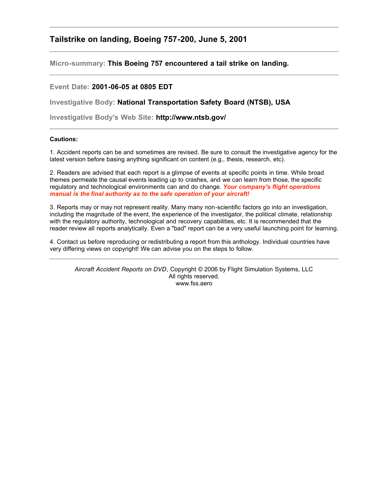## **Tailstrike on landing, Boeing 757-200, June 5, 2001**

**Micro-summary: This Boeing 757 encountered a tail strike on landing.**

## **Event Date: 2001-06-05 at 0805 EDT**

**Investigative Body: National Transportation Safety Board (NTSB), USA**

**Investigative Body's Web Site: http://www.ntsb.gov/**

## **Cautions:**

1. Accident reports can be and sometimes are revised. Be sure to consult the investigative agency for the latest version before basing anything significant on content (e.g., thesis, research, etc).

2. Readers are advised that each report is a glimpse of events at specific points in time. While broad themes permeate the causal events leading up to crashes, and we can learn from those, the specific regulatory and technological environments can and do change. *Your company's flight operations manual is the final authority as to the safe operation of your aircraft!*

3. Reports may or may not represent reality. Many many non-scientific factors go into an investigation, including the magnitude of the event, the experience of the investigator, the political climate, relationship with the regulatory authority, technological and recovery capabilities, etc. It is recommended that the reader review all reports analytically. Even a "bad" report can be a very useful launching point for learning.

4. Contact us before reproducing or redistributing a report from this anthology. Individual countries have very differing views on copyright! We can advise you on the steps to follow.

*Aircraft Accident Reports on DVD*, Copyright © 2006 by Flight Simulation Systems, LLC All rights reserved. www.fss.aero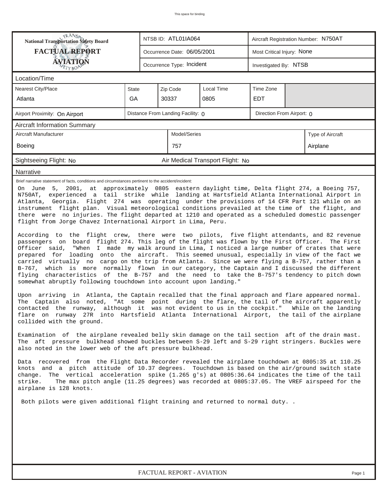| <b>NANSA</b><br>National Transportation Safety Board                                                                                                                                                                                                                                                                                                                                                                                                                                                                                                                                                                                                                                                                                                                                                                                                                                                                                                                                                                                                                                                                                                                                                                                                                                                                                                                                                                                                                                                                                                                                                                                                                                                                                                                                                                                                                                                                                                                                                                                                                                                                                                                                                                                                                                                                                                                                                                                                                                                                                                                                                                                                                                                           |              |  | NTSB ID: ATL01IA064               |                                  | Aircraft Registration Number: N750AT |                       |                  |  |  |  |
|----------------------------------------------------------------------------------------------------------------------------------------------------------------------------------------------------------------------------------------------------------------------------------------------------------------------------------------------------------------------------------------------------------------------------------------------------------------------------------------------------------------------------------------------------------------------------------------------------------------------------------------------------------------------------------------------------------------------------------------------------------------------------------------------------------------------------------------------------------------------------------------------------------------------------------------------------------------------------------------------------------------------------------------------------------------------------------------------------------------------------------------------------------------------------------------------------------------------------------------------------------------------------------------------------------------------------------------------------------------------------------------------------------------------------------------------------------------------------------------------------------------------------------------------------------------------------------------------------------------------------------------------------------------------------------------------------------------------------------------------------------------------------------------------------------------------------------------------------------------------------------------------------------------------------------------------------------------------------------------------------------------------------------------------------------------------------------------------------------------------------------------------------------------------------------------------------------------------------------------------------------------------------------------------------------------------------------------------------------------------------------------------------------------------------------------------------------------------------------------------------------------------------------------------------------------------------------------------------------------------------------------------------------------------------------------------------------------|--------------|--|-----------------------------------|----------------------------------|--------------------------------------|-----------------------|------------------|--|--|--|
| <b>FACTUAL REPORT</b>                                                                                                                                                                                                                                                                                                                                                                                                                                                                                                                                                                                                                                                                                                                                                                                                                                                                                                                                                                                                                                                                                                                                                                                                                                                                                                                                                                                                                                                                                                                                                                                                                                                                                                                                                                                                                                                                                                                                                                                                                                                                                                                                                                                                                                                                                                                                                                                                                                                                                                                                                                                                                                                                                          |              |  | Occurrence Date: 06/05/2001       |                                  | Most Critical Injury: None           |                       |                  |  |  |  |
| <b>ÁVIATION</b><br>ETYBON                                                                                                                                                                                                                                                                                                                                                                                                                                                                                                                                                                                                                                                                                                                                                                                                                                                                                                                                                                                                                                                                                                                                                                                                                                                                                                                                                                                                                                                                                                                                                                                                                                                                                                                                                                                                                                                                                                                                                                                                                                                                                                                                                                                                                                                                                                                                                                                                                                                                                                                                                                                                                                                                                      |              |  | Occurrence Type: Incident         |                                  |                                      | Investigated By: NTSB |                  |  |  |  |
| Location/Time                                                                                                                                                                                                                                                                                                                                                                                                                                                                                                                                                                                                                                                                                                                                                                                                                                                                                                                                                                                                                                                                                                                                                                                                                                                                                                                                                                                                                                                                                                                                                                                                                                                                                                                                                                                                                                                                                                                                                                                                                                                                                                                                                                                                                                                                                                                                                                                                                                                                                                                                                                                                                                                                                                  |              |  |                                   |                                  |                                      |                       |                  |  |  |  |
| Nearest City/Place                                                                                                                                                                                                                                                                                                                                                                                                                                                                                                                                                                                                                                                                                                                                                                                                                                                                                                                                                                                                                                                                                                                                                                                                                                                                                                                                                                                                                                                                                                                                                                                                                                                                                                                                                                                                                                                                                                                                                                                                                                                                                                                                                                                                                                                                                                                                                                                                                                                                                                                                                                                                                                                                                             | <b>State</b> |  | Zip Code                          | Local Time                       | Time Zone                            |                       |                  |  |  |  |
| Atlanta                                                                                                                                                                                                                                                                                                                                                                                                                                                                                                                                                                                                                                                                                                                                                                                                                                                                                                                                                                                                                                                                                                                                                                                                                                                                                                                                                                                                                                                                                                                                                                                                                                                                                                                                                                                                                                                                                                                                                                                                                                                                                                                                                                                                                                                                                                                                                                                                                                                                                                                                                                                                                                                                                                        | GA           |  | 30337                             | 0805                             | <b>EDT</b>                           |                       |                  |  |  |  |
| Airport Proximity: On Airport                                                                                                                                                                                                                                                                                                                                                                                                                                                                                                                                                                                                                                                                                                                                                                                                                                                                                                                                                                                                                                                                                                                                                                                                                                                                                                                                                                                                                                                                                                                                                                                                                                                                                                                                                                                                                                                                                                                                                                                                                                                                                                                                                                                                                                                                                                                                                                                                                                                                                                                                                                                                                                                                                  |              |  | Distance From Landing Facility: 0 |                                  | Direction From Airport: 0            |                       |                  |  |  |  |
| <b>Aircraft Information Summary</b>                                                                                                                                                                                                                                                                                                                                                                                                                                                                                                                                                                                                                                                                                                                                                                                                                                                                                                                                                                                                                                                                                                                                                                                                                                                                                                                                                                                                                                                                                                                                                                                                                                                                                                                                                                                                                                                                                                                                                                                                                                                                                                                                                                                                                                                                                                                                                                                                                                                                                                                                                                                                                                                                            |              |  |                                   |                                  |                                      |                       |                  |  |  |  |
| Aircraft Manufacturer                                                                                                                                                                                                                                                                                                                                                                                                                                                                                                                                                                                                                                                                                                                                                                                                                                                                                                                                                                                                                                                                                                                                                                                                                                                                                                                                                                                                                                                                                                                                                                                                                                                                                                                                                                                                                                                                                                                                                                                                                                                                                                                                                                                                                                                                                                                                                                                                                                                                                                                                                                                                                                                                                          |              |  | Model/Series                      |                                  |                                      |                       | Type of Aircraft |  |  |  |
| <b>Boeing</b>                                                                                                                                                                                                                                                                                                                                                                                                                                                                                                                                                                                                                                                                                                                                                                                                                                                                                                                                                                                                                                                                                                                                                                                                                                                                                                                                                                                                                                                                                                                                                                                                                                                                                                                                                                                                                                                                                                                                                                                                                                                                                                                                                                                                                                                                                                                                                                                                                                                                                                                                                                                                                                                                                                  |              |  | 757                               |                                  |                                      |                       | Airplane         |  |  |  |
| Sightseeing Flight: No                                                                                                                                                                                                                                                                                                                                                                                                                                                                                                                                                                                                                                                                                                                                                                                                                                                                                                                                                                                                                                                                                                                                                                                                                                                                                                                                                                                                                                                                                                                                                                                                                                                                                                                                                                                                                                                                                                                                                                                                                                                                                                                                                                                                                                                                                                                                                                                                                                                                                                                                                                                                                                                                                         |              |  |                                   | Air Medical Transport Flight: No |                                      |                       |                  |  |  |  |
| Narrative                                                                                                                                                                                                                                                                                                                                                                                                                                                                                                                                                                                                                                                                                                                                                                                                                                                                                                                                                                                                                                                                                                                                                                                                                                                                                                                                                                                                                                                                                                                                                                                                                                                                                                                                                                                                                                                                                                                                                                                                                                                                                                                                                                                                                                                                                                                                                                                                                                                                                                                                                                                                                                                                                                      |              |  |                                   |                                  |                                      |                       |                  |  |  |  |
| Brief narrative statement of facts, conditions and circumstances pertinent to the accident/incident:<br>On June 5, 2001, at approximately 0805 eastern daylight time, Delta flight 274, a Boeing 757,<br>N750AT, experienced a tail strike while landing at Hartsfield Atlanta International Airport in<br>Atlanta, Georgia. Flight 274 was operating under the provisions of 14 CFR Part 121 while on an<br>instrument flight plan. Visual meteorological conditions prevailed at the time of the flight, and<br>there were no injuries. The flight departed at 1210 and operated as a scheduled domestic passenger<br>flight from Jorge Chavez International Airport in Lima, Peru.<br>According to the flight crew, there were two pilots, five flight attendants, and 82 revenue<br>passengers on board flight 274. This leg of the flight was flown by the First Officer. The First<br>Officer said, "When I made my walk around in Lima, I noticed a large number of crates that were<br>prepared for loading onto the aircraft. This seemed unusual, especially in view of the fact we<br>carried virtually no cargo on the trip from Atlanta. Since we were flying a B-757, rather than a<br>B-767, which is more normally flown in our category, the Captain and I discussed the different<br>flying characteristics of the B-757 and the need to take the B-757's tendency to pitch down<br>somewhat abruptly following touchdown into account upon landing."<br>Upon arriving in Atlanta, the Captain recalled that the final approach and flare appeared normal.<br>The Captain also noted, "At some point during the flare, the tail of the aircraft apparently<br>contacted the runway, although it was not evident to us in the cockpit." While on the landing<br>flare on runway 27R into Hartsfield Atlanta International Airport, the tail of the airplane<br>collided with the ground.<br>Examination of the airplane revealed belly skin damage on the tail section aft of the drain mast.<br>The aft pressure bulkhead showed buckles between S-29 left and S-29 right stringers. Buckles were<br>also noted in the lower web of the aft pressure bulkhead.<br>Data recovered from the Flight Data Recorder revealed the airplane touchdown at 0805:35 at 110.25<br>knots and a pitch attitude of 10.37 degrees. Touchdown is based on the air/ground switch state<br>change. The vertical acceleration spike (1.265 g's) at 0805:36.64 indicates the time of the tail<br>The max pitch angle (11.25 degrees) was recorded at 0805:37.05. The VREF airspeed for the<br>strike.<br>airplane is 128 knots.<br>Both pilots were given additional flight training and returned to normal duty |              |  |                                   |                                  |                                      |                       |                  |  |  |  |

*FACTUAL REPORT - AVIATION Page 1*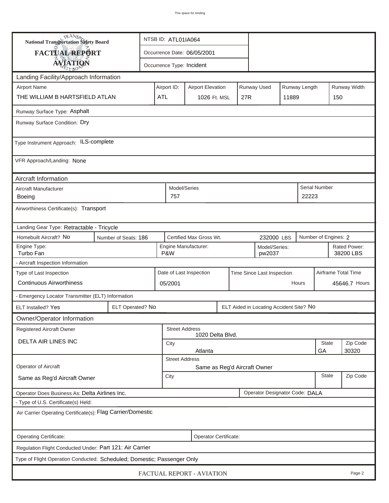| <b>National Transportation Safety Board</b>                             | NTSB ID: ATL01IA064 |                                                                         |                             |                           |  |     |                                         |       |                           |                      |               |  |
|-------------------------------------------------------------------------|---------------------|-------------------------------------------------------------------------|-----------------------------|---------------------------|--|-----|-----------------------------------------|-------|---------------------------|----------------------|---------------|--|
| FACTUAL REPORT                                                          |                     |                                                                         | Occurrence Date: 06/05/2001 |                           |  |     |                                         |       |                           |                      |               |  |
| <b>AVIATION</b>                                                         |                     | Occurrence Type: Incident                                               |                             |                           |  |     |                                         |       |                           |                      |               |  |
| Landing Facility/Approach Information                                   |                     |                                                                         |                             |                           |  |     |                                         |       |                           |                      |               |  |
| <b>Airport Name</b>                                                     |                     | Runway Used<br>Runway Length<br>Airport ID:<br><b>Airport Elevation</b> |                             |                           |  |     |                                         |       |                           | Runway Width         |               |  |
| THE WILLIAM B HARTSFIELD ATLAN                                          | <b>ATL</b>          |                                                                         |                             |                           |  | 27R |                                         | 11889 |                           |                      | 150           |  |
| Runway Surface Type: Asphalt                                            |                     |                                                                         |                             |                           |  |     |                                         |       |                           |                      |               |  |
| Runway Surface Condition: Dry                                           |                     |                                                                         |                             |                           |  |     |                                         |       |                           |                      |               |  |
| Type Instrument Approach: ILS-complete                                  |                     |                                                                         |                             |                           |  |     |                                         |       |                           |                      |               |  |
| VFR Approach/Landing: None                                              |                     |                                                                         |                             |                           |  |     |                                         |       |                           |                      |               |  |
| Aircraft Information                                                    |                     |                                                                         |                             |                           |  |     |                                         |       |                           |                      |               |  |
| Aircraft Manufacturer<br>Boeing                                         |                     |                                                                         | Model/Series<br>757         |                           |  |     |                                         |       | 22223                     | <b>Serial Number</b> |               |  |
| Airworthiness Certificate(s): Transport                                 |                     |                                                                         |                             |                           |  |     |                                         |       |                           |                      |               |  |
| Landing Gear Type: Retractable - Tricycle                               |                     |                                                                         |                             |                           |  |     |                                         |       |                           |                      |               |  |
| Homebuilt Aircraft? No<br>Number of Seats: 186                          |                     |                                                                         |                             | Certified Max Gross Wt.   |  |     | 232000 LBS                              |       |                           | Number of Engines: 2 |               |  |
| Engine Type:<br>Turbo Fan                                               |                     | Engine Manufacturer:<br>Model/Series:<br>P&W<br>pw2037                  |                             |                           |  |     |                                         |       | Rated Power:<br>38200 LBS |                      |               |  |
| - Aircraft Inspection Information                                       |                     |                                                                         |                             |                           |  |     |                                         |       |                           |                      |               |  |
| Type of Last Inspection                                                 |                     | Date of Last Inspection<br>Time Since Last Inspection                   |                             |                           |  |     |                                         |       | Airframe Total Time       |                      |               |  |
| <b>Continuous Airworthiness</b>                                         |                     |                                                                         | 05/2001                     |                           |  |     |                                         |       | Hours                     |                      | 45646.7 Hours |  |
| - Emergency Locator Transmitter (ELT) Information                       |                     |                                                                         |                             |                           |  |     |                                         |       |                           |                      |               |  |
| ELT Installed? Yes                                                      | ELT Operated? No    |                                                                         |                             |                           |  |     | ELT Aided in Locating Accident Site? No |       |                           |                      |               |  |
| Owner/Operator Information                                              |                     |                                                                         |                             |                           |  |     |                                         |       |                           |                      |               |  |
| <b>Registered Aircraft Owner</b>                                        |                     |                                                                         | <b>Street Address</b>       | 1020 Delta Blvd.          |  |     |                                         |       |                           |                      |               |  |
| DELTA AIR LINES INC                                                     |                     | <b>State</b><br>City                                                    |                             |                           |  |     |                                         |       |                           | Zip Code             |               |  |
|                                                                         |                     | 30320<br>Atlanta<br>GА<br><b>Street Address</b>                         |                             |                           |  |     |                                         |       |                           |                      |               |  |
| Operator of Aircraft                                                    |                     |                                                                         |                             |                           |  |     | Same as Reg'd Aircraft Owner            |       |                           |                      |               |  |
| Same as Reg'd Aircraft Owner                                            |                     | City                                                                    |                             |                           |  |     |                                         |       | <b>State</b>              | Zip Code             |               |  |
| Operator Does Business As: Delta Airlines Inc.                          |                     |                                                                         |                             |                           |  |     | Operator Designator Code: DALA          |       |                           |                      |               |  |
| - Type of U.S. Certificate(s) Held:                                     |                     |                                                                         |                             |                           |  |     |                                         |       |                           |                      |               |  |
| Air Carrier Operating Certificate(s): Flag Carrier/Domestic             |                     |                                                                         |                             |                           |  |     |                                         |       |                           |                      |               |  |
| Operating Certificate:                                                  |                     |                                                                         |                             | Operator Certificate:     |  |     |                                         |       |                           |                      |               |  |
| Regulation Flight Conducted Under: Part 121: Air Carrier                |                     |                                                                         |                             |                           |  |     |                                         |       |                           |                      |               |  |
| Type of Flight Operation Conducted: Scheduled; Domestic; Passenger Only |                     |                                                                         |                             |                           |  |     |                                         |       |                           |                      |               |  |
|                                                                         |                     |                                                                         |                             | FACTUAL REPORT - AVIATION |  |     |                                         |       |                           |                      | Page 2        |  |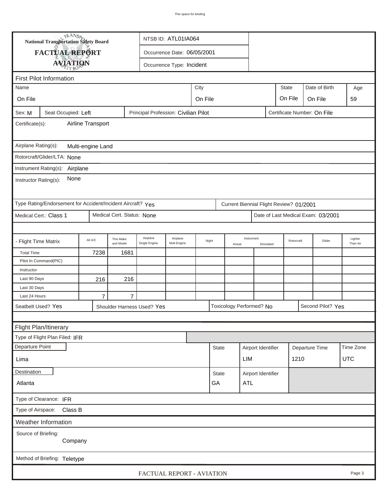| <b>National Transportation Safety Board</b>                        |                                                             |                                      |                            |                            | NTSB ID: ATL01IA064         |       |                             |                                       |                    |                                   |                                         |  |                                    |            |  |
|--------------------------------------------------------------------|-------------------------------------------------------------|--------------------------------------|----------------------------|----------------------------|-----------------------------|-------|-----------------------------|---------------------------------------|--------------------|-----------------------------------|-----------------------------------------|--|------------------------------------|------------|--|
|                                                                    | FACTUAL REPORT                                              |                                      |                            |                            | Occurrence Date: 06/05/2001 |       |                             |                                       |                    |                                   |                                         |  |                                    |            |  |
|                                                                    | <b>AVIATION</b>                                             |                                      |                            |                            | Occurrence Type: Incident   |       |                             |                                       |                    |                                   |                                         |  |                                    |            |  |
|                                                                    |                                                             |                                      |                            |                            |                             |       |                             |                                       |                    |                                   |                                         |  |                                    |            |  |
|                                                                    | <b>First Pilot Information</b>                              |                                      |                            |                            |                             |       |                             |                                       |                    |                                   |                                         |  |                                    | Age        |  |
| Name                                                               |                                                             |                                      |                            |                            |                             |       |                             | Date of Birth<br>City<br><b>State</b> |                    |                                   |                                         |  |                                    |            |  |
| On File                                                            |                                                             | On File<br>On File<br>On File        |                            |                            |                             |       |                             |                                       | 59                 |                                   |                                         |  |                                    |            |  |
| Sex: M                                                             | Seat Occupied: Left                                         | Principal Profession: Civilian Pilot |                            |                            |                             |       | Certificate Number: On File |                                       |                    |                                   |                                         |  |                                    |            |  |
| Airline Transport<br>Certificate(s):                               |                                                             |                                      |                            |                            |                             |       |                             |                                       |                    |                                   |                                         |  |                                    |            |  |
| Airplane Rating(s):<br>Multi-engine Land                           |                                                             |                                      |                            |                            |                             |       |                             |                                       |                    |                                   |                                         |  |                                    |            |  |
|                                                                    | Rotorcraft/Glider/LTA: None                                 |                                      |                            |                            |                             |       |                             |                                       |                    |                                   |                                         |  |                                    |            |  |
|                                                                    |                                                             |                                      |                            |                            |                             |       |                             |                                       |                    |                                   |                                         |  |                                    |            |  |
| Instrument Rating(s):<br>Airplane<br>None<br>Instructor Rating(s): |                                                             |                                      |                            |                            |                             |       |                             |                                       |                    |                                   |                                         |  |                                    |            |  |
|                                                                    | Type Rating/Endorsement for Accident/Incident Aircraft? Yes |                                      |                            |                            |                             |       |                             |                                       |                    |                                   | Current Biennial Flight Review? 01/2001 |  |                                    |            |  |
|                                                                    | Medical Cert.: Class 1                                      |                                      | Medical Cert. Status: None |                            |                             |       |                             |                                       |                    |                                   |                                         |  | Date of Last Medical Exam: 03/2001 |            |  |
|                                                                    |                                                             |                                      |                            |                            |                             |       |                             |                                       |                    |                                   |                                         |  |                                    |            |  |
| - Flight Time Matrix                                               |                                                             | All A/C                              | This Make<br>and Model     | Airplane<br>Single Engine  | Airplane<br>Mult-Engine     | Night |                             | Actual                                | Instrument         | Glider<br>Rotorcraft<br>Simulated |                                         |  | Lighter<br>Than Air                |            |  |
| <b>Total Time</b>                                                  |                                                             | 7238                                 | 1681                       |                            |                             |       |                             |                                       |                    |                                   |                                         |  |                                    |            |  |
|                                                                    | Pilot In Command(PIC)                                       |                                      |                            |                            |                             |       |                             |                                       |                    |                                   |                                         |  |                                    |            |  |
| Instructor<br>Last 90 Days                                         |                                                             |                                      |                            |                            |                             |       |                             |                                       |                    |                                   |                                         |  |                                    |            |  |
| Last 30 Days                                                       |                                                             | 216                                  | 216                        |                            |                             |       |                             |                                       |                    |                                   |                                         |  |                                    |            |  |
| Last 24 Hours                                                      |                                                             | $\overline{7}$                       | $\overline{7}$             |                            |                             |       |                             |                                       |                    |                                   |                                         |  |                                    |            |  |
|                                                                    | Seatbelt Used? Yes                                          |                                      |                            | Shoulder Harness Used? Yes |                             |       |                             | Toxicology Performed? No              |                    |                                   |                                         |  | Second Pilot? Yes                  |            |  |
|                                                                    |                                                             |                                      |                            |                            |                             |       |                             |                                       |                    |                                   |                                         |  |                                    |            |  |
|                                                                    | Flight Plan/Itinerary                                       |                                      |                            |                            |                             |       |                             |                                       |                    |                                   |                                         |  |                                    |            |  |
|                                                                    | Type of Flight Plan Filed: IFR                              |                                      |                            |                            |                             |       |                             |                                       |                    |                                   |                                         |  |                                    |            |  |
| Departure Point                                                    |                                                             |                                      |                            |                            |                             |       | <b>State</b>                |                                       | Airport Identifier |                                   |                                         |  |                                    | Time Zone  |  |
| Lima                                                               |                                                             |                                      |                            |                            |                             |       |                             |                                       | LIM                |                                   | Departure Time<br>1210                  |  |                                    | <b>UTC</b> |  |
|                                                                    |                                                             |                                      |                            |                            |                             |       |                             |                                       |                    |                                   |                                         |  |                                    |            |  |
| Destination                                                        |                                                             |                                      |                            |                            |                             |       | <b>State</b>                |                                       |                    | Airport Identifier                |                                         |  |                                    |            |  |
| Atlanta                                                            |                                                             |                                      |                            |                            |                             |       | GA                          |                                       | <b>ATL</b>         |                                   |                                         |  |                                    |            |  |
|                                                                    | Type of Clearance: IFR                                      |                                      |                            |                            |                             |       |                             |                                       |                    |                                   |                                         |  |                                    |            |  |
|                                                                    | Type of Airspace: Class B                                   |                                      |                            |                            |                             |       |                             |                                       |                    |                                   |                                         |  |                                    |            |  |
|                                                                    | Weather Information                                         |                                      |                            |                            |                             |       |                             |                                       |                    |                                   |                                         |  |                                    |            |  |
|                                                                    | Source of Briefing:<br>Company                              |                                      |                            |                            |                             |       |                             |                                       |                    |                                   |                                         |  |                                    |            |  |
|                                                                    | Method of Briefing: Teletype                                |                                      |                            |                            |                             |       |                             |                                       |                    |                                   |                                         |  |                                    |            |  |
|                                                                    |                                                             |                                      |                            |                            | FACTUAL REPORT - AVIATION   |       |                             |                                       |                    |                                   |                                         |  |                                    | Page 3     |  |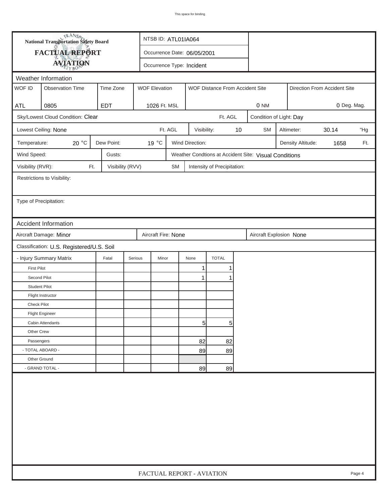| <b>National Transportation Safety Board</b> |                                           |                  |                                                         | NTSB ID: ATL01IA064 |                   |                             |  |                                                       |                         |                              |       |        |
|---------------------------------------------|-------------------------------------------|------------------|---------------------------------------------------------|---------------------|-------------------|-----------------------------|--|-------------------------------------------------------|-------------------------|------------------------------|-------|--------|
|                                             | FACTUAL REPORT                            |                  | Occurrence Date: 06/05/2001                             |                     |                   |                             |  |                                                       |                         |                              |       |        |
|                                             | <b>AVIATION</b>                           |                  | Occurrence Type: Incident                               |                     |                   |                             |  |                                                       |                         |                              |       |        |
|                                             | Weather Information                       |                  |                                                         |                     |                   |                             |  |                                                       |                         |                              |       |        |
| WOF ID                                      | <b>Observation Time</b>                   |                  | <b>WOF Elevation</b><br>WOF Distance From Accident Site |                     |                   |                             |  |                                                       |                         | Direction From Accident Site |       |        |
|                                             |                                           |                  |                                                         |                     |                   |                             |  |                                                       |                         |                              |       |        |
| <b>ATL</b>                                  | 0805                                      | <b>EDT</b>       | 1026 Ft. MSL                                            |                     |                   |                             |  | 0 NM                                                  |                         | 0 Deg. Mag.                  |       |        |
|                                             | Sky/Lowest Cloud Condition: Clear         |                  |                                                         |                     |                   | Ft. AGL                     |  |                                                       | Condition of Light: Day |                              |       |        |
|                                             | Lowest Ceiling: None                      |                  |                                                         | Ft. AGL             | 10<br>Visibility: |                             |  | <b>SM</b><br>Altimeter:                               |                         |                              | 30.14 | "Hg    |
| Temperature:                                | 20 $\degree$ C                            | Dew Point:       | 19 °C                                                   |                     | Wind Direction:   |                             |  |                                                       |                         | Density Altitude:            | 1658  | Ft.    |
| Wind Speed:                                 |                                           | Gusts:           |                                                         |                     |                   |                             |  | Weather Condtions at Accident Site: Visual Conditions |                         |                              |       |        |
| Visibility (RVR):                           | Ft.                                       | Visibility (RVV) |                                                         | <b>SM</b>           |                   | Intensity of Precipitation: |  |                                                       |                         |                              |       |        |
|                                             | Restrictions to Visibility:               |                  |                                                         |                     |                   |                             |  |                                                       |                         |                              |       |        |
|                                             |                                           |                  |                                                         |                     |                   |                             |  |                                                       |                         |                              |       |        |
| Type of Precipitation:                      |                                           |                  |                                                         |                     |                   |                             |  |                                                       |                         |                              |       |        |
|                                             |                                           |                  |                                                         |                     |                   |                             |  |                                                       |                         |                              |       |        |
|                                             | Accident Information                      |                  |                                                         |                     |                   |                             |  |                                                       |                         |                              |       |        |
|                                             | Aircraft Damage: Minor                    |                  |                                                         | Aircraft Fire: None |                   |                             |  |                                                       |                         | Aircraft Explosion None      |       |        |
|                                             | Classification: U.S. Registered/U.S. Soil |                  |                                                         |                     |                   |                             |  |                                                       |                         |                              |       |        |
|                                             | - Injury Summary Matrix                   | Fatal            | Serious<br>Minor                                        |                     | None              | <b>TOTAL</b>                |  |                                                       |                         |                              |       |        |
| <b>First Pilot</b>                          |                                           |                  |                                                         |                     | 1                 | 1                           |  |                                                       |                         |                              |       |        |
| Second Pilot                                |                                           |                  |                                                         |                     | 1                 |                             |  |                                                       |                         |                              |       |        |
| <b>Student Pilot</b>                        |                                           |                  |                                                         |                     |                   |                             |  |                                                       |                         |                              |       |        |
|                                             | Flight Instructor                         |                  |                                                         |                     |                   |                             |  |                                                       |                         |                              |       |        |
| <b>Check Pilot</b>                          |                                           |                  |                                                         |                     |                   |                             |  |                                                       |                         |                              |       |        |
|                                             | <b>Flight Engineer</b>                    |                  |                                                         |                     |                   |                             |  |                                                       |                         |                              |       |        |
|                                             | Cabin Attendants                          |                  |                                                         |                     | 5                 | 5                           |  |                                                       |                         |                              |       |        |
| Other Crew                                  |                                           |                  |                                                         |                     |                   |                             |  |                                                       |                         |                              |       |        |
| Passengers                                  |                                           |                  |                                                         |                     | 82                | 82                          |  |                                                       |                         |                              |       |        |
|                                             | - TOTAL ABOARD -                          |                  |                                                         |                     | 89                | 89                          |  |                                                       |                         |                              |       |        |
| Other Ground                                |                                           |                  |                                                         |                     |                   |                             |  |                                                       |                         |                              |       |        |
|                                             | - GRAND TOTAL -                           |                  |                                                         |                     | 89                | 89                          |  |                                                       |                         |                              |       |        |
|                                             |                                           |                  |                                                         |                     |                   |                             |  |                                                       |                         |                              |       |        |
|                                             |                                           |                  | FACTUAL REPORT - AVIATION                               |                     |                   |                             |  |                                                       |                         |                              |       | Page 4 |